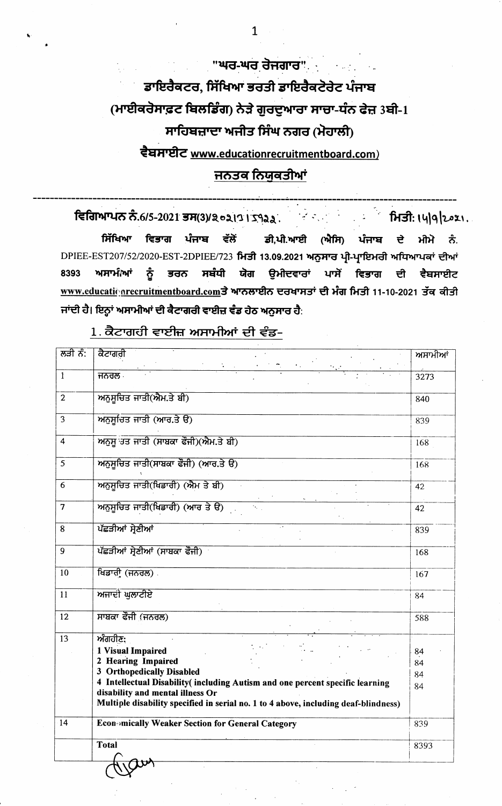# "ਘਰ-ਘਰ ਰੋਜਗਾਰ" ਡਾਇਰੈਕਟਰ, ਸਿੱਖਿਆ ਭਰਤੀ ਡਾਇਰੈਕਟੋਰੇਟ ਪੰਜਾਬ (ਮਾਈਕਰੋਸਾਫ਼ਟ ਬਿਲਡਿੰਗ) ਨੇੜੇ ਗੁਰਦੁਆਰਾ ਸਾਚਾ-ਧੰਨ ਫੇਜ਼ 3ਬੀ-1 ਸਾਹਿਬਜ਼ਾਦਾ ਅਜੀਤ ਸਿੰਘ ਨਗਰ (ਮੋਹਾਲੀ) ਵੈਬਸਾਈਟ www.educationrecruitmentboard.com)

## ਜਨਤਕ ਨਿਯੁਕਤੀਆਂ

के साथ प्राप्त भारती: 1499 2021. ਵਿਗਿਆਪਨ ਨੰ.6/5-2021 ਭਸ(3)/2021315922. ਸਿੱਖਿਆ ਵਿਭਾਗ ਪੰਜਾਬ ਵੱਲੋਂ ਡੀ,ਪੀ.ਆਈ (ਐਸਿ) ਪੰਜਾਬ ਮੀਮੋ ਦੇ ਨੰ. DPIEE-EST207/52/2020-EST-2DPIEE/723 ਮਿਤੀ 13.09.2021 ਅਨੁਸਾਰ ਪ੍ਰੀ-ਪ੍ਰਾਇਮਰੀ ਅਧਿਆਪਕਾਂ ਦੀਆਂ ਅਸਾਮੀਆਂ ਨੂੰ ਭਰਨ ਸਬੰਧੀ ਯੋਗ ਉਮੀਦਵਾਰਾਂ ਪਾਸੋਂ ਵਿਭਾਗ ਦੀ 8393 ਵੈਬਸਾਈਟ www.educationrecruitmentboard.comਤੇ ਆਨਲਾਈਨ ਦਰਖਾਸਤਾਂ ਦੀ ਮੰਗ ਮਿਤੀ 11-10-2021 ਤੱਕ ਕੀਤੀ ਜਾਂਦੀ ਹੈ। ਇਨ੍ਹਾਂ ਅਸਾਮੀਆਂ ਦੀ ਕੈਟਾਗਰੀ ਵਾਈਜ਼ ਵੰਡ ਹੇਠ ਅਨੁਸਾਰ ਹੈ:

1. ਕੈਟਾਗਰੀ ਵਾਈਜ਼ ਅਸਾਮੀਆਂ ਦੀ ਵੰਡ-

| ਲੜੀ ਨੰ:        |                                                                                     |         |
|----------------|-------------------------------------------------------------------------------------|---------|
|                | ਕੈਟਾਗਰੀ                                                                             | ਅਸਾਮੀਆਂ |
|                |                                                                                     |         |
| $\mathbf{1}$   | ਜਨਰਲ                                                                                | 3273    |
|                |                                                                                     |         |
| $\overline{2}$ | ਅਨੁਸੂਚਿਤ ਜਾਤੀ(ਐਮ.ਤੇ ਬੀ)                                                             | 840     |
|                |                                                                                     |         |
| 3              | ਅਨੁਸੂਚਿਤ ਜਾਤੀ (ਆਰ.ਤੇ ੳ)                                                             | 839     |
|                |                                                                                     |         |
| 4              | ਅਨੁਸੂ ਰਤ ਜਾਤੀ (ਸਾਬਕਾ ਫੌਜੀ)(ਐਮ.ਤੇ ਬੀ)                                                | 168     |
|                |                                                                                     |         |
| 5              | ਅਨੁਸੂਚਿਤ ਜਾਤੀ(ਸਾਬਕਾ ਫੌਜੀ) (ਆਰ.ਤੇ ੳ)                                                 | 168     |
|                |                                                                                     |         |
| 6              | ਅਨੁਸੂਚਿਤ ਜਾਤੀ(ਖਿਡਾਰੀ) (ਐਮ ਤੇ ਬੀ)                                                    | 42      |
|                |                                                                                     |         |
| 7              | ਅਨੁਸੂਚਿਤ ਜਾਤੀ(ਖਿਡਾਰੀ) (ਆਰ ਤੇ ੳ)                                                     | 42      |
|                |                                                                                     |         |
| 8              | ਪੱਛੜੀਆਂ ਸ਼੍ਰੇਣੀਆਂ                                                                   | 839     |
|                |                                                                                     |         |
| 9              | ਪੱਛੜੀਆਂ ਸ਼੍ਰੇਣੀਆਂ (ਸਾਬਕਾ ਫੌਜੀ)                                                      | 168     |
|                |                                                                                     |         |
| 10             | ਖਿਡਾਰੀ (ਜਨਰਲ)                                                                       | 167     |
|                |                                                                                     |         |
| 11             | ਅਜਾਦੀ ਘਲਾਟੀਏ                                                                        | 84      |
|                |                                                                                     |         |
| 12             | ਸਾਬਕਾ ਫੌਜੀ (ਜਨਰਲ)                                                                   | 588     |
|                |                                                                                     |         |
| 13             | ਅੰਗਹੀਣ:                                                                             |         |
|                | <b>1 Visual Impaired</b>                                                            | 84      |
|                | 2 Hearing Impaired                                                                  |         |
|                | 3 Orthopedically Disabled                                                           | 84      |
|                | 4 Intellectual Disability(including Autism and one percent specific learning        | 84      |
|                | disability and mental illness Or                                                    | 84      |
|                | Multiple disability specified in serial no. 1 to 4 above, including deaf-blindness) |         |
|                |                                                                                     |         |
| 14             | <b>Economically Weaker Section for General Category</b>                             | 839     |
|                |                                                                                     |         |
|                | <b>Total</b>                                                                        | 8393    |
|                |                                                                                     |         |
|                | 7w                                                                                  |         |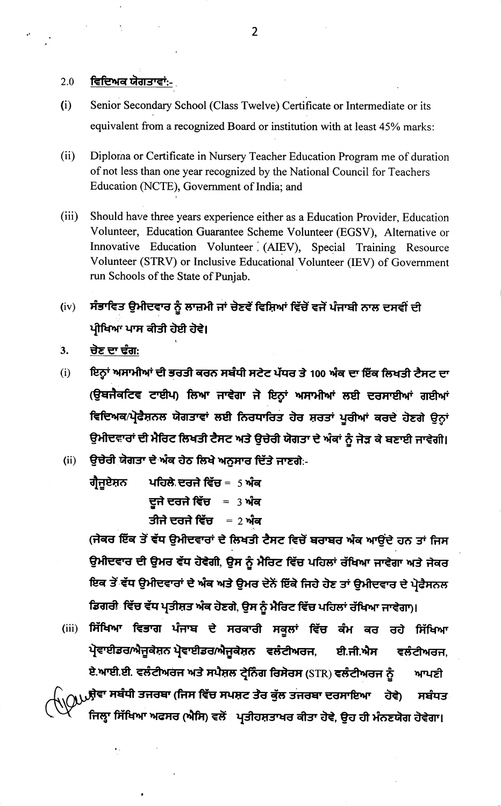#### 2.0 ਵਿਦਿਅਕ ਯੋਗਤਾਵਾਂ:-

- $(i)$ Senior Secondary School (Class Twelve) Certificate or Intermediate or its equivalent from a recognized Board or institution with at least 45% marks:
- $(ii)$ Diploma or Certificate in Nursery Teacher Education Program me of duration of not less than one year recognized by the National Council for Teachers Education (NCTE), Government of India; and
- Should have three years experience either as a Education Provider, Education  $(iii)$ Volunteer, Education Guarantee Scheme Volunteer (EGSV), Alternative or Innovative Education Volunteer (AIEV), Special Training Resource Volunteer (STRV) or Inclusive Educational Volunteer (IEV) of Government run Schools of the State of Punjab.
- ਸੰਭਾਵਿਤ ਉਮੀਦਵਾਰ ਨੂੰ ਲਾਜ਼ਮੀ ਜਾਂ ਚੋਣਵੇਂ ਵਿਸ਼ਿਆਂ ਵਿੱਚੋਂ ਵਜੋਂ ਪੰਜਾਬੀ ਨਾਲ ਦਸਵੀਂ ਦੀ  $(iv)$ ਪੀਖਿਆ ਪਾਸ ਕੀਤੀ ਹੋਈ ਹੋਵੇ।
- ਚੋਣ ਦਾ ਢੰਗ:  $\mathbf{3}$ .

 $\sum_{i=1}^{n}$ 

 $(i)$ ਇਨ੍ਹਾਂ ਅਸਾਮੀਆਂ ਦੀ ਭਰਤੀ ਕਰਨ ਸਬੰਧੀ ਸਟੇਟ ਪੱਧਰ ਤੇ 100 ਅੰਕ ਦਾ ਇੱਕ ਲਿਖਤੀ ਟੈਸਟ ਦਾ (ਉਬਜੈਕਟਿਵ ਟਾਈਪ) ਲਿਆ ਜਾਵੇਗਾ ਜੋ ਇਨ੍ਹਾਂ ਅਸਾਮੀਆਂ ਲਈ ਦਰਸਾਈਆਂ ਗਈਆਂ ਵਿਦਿਅਕ/ਪ੍ਰੋਫੈਸ਼ਨਲ ਯੋਗਤਾਵਾਂ ਲਈ ਨਿਰਧਾਰਿਤ ਹੋਰ ਸ਼ਰਤਾਂ ਪੂਰੀਆਂ ਕਰਦੇ ਹੋਣਗੇ ਉਨ੍ਹਾਂ ਉਮੀਦਵਾਰਾਂ ਦੀ ਮੈਰਿਟ ਲਿਖਤੀ ਟੈਸਟ ਅਤੇ ਉਚੇਰੀ ਯੋਗਤਾ ਦੇ ਅੰਕਾਂ ਨੂੰ ਜੋੜ ਕੇ ਬਣਾਈ ਜਾਵੇਗੀ।

### ਉਚੇਰੀ ਯੋਗਤਾ ਦੇ ਅੰਕ ਹੇਠ ਲਿਖੇ ਅਨੁਸਾਰ ਦਿੱਤੇ ਜਾਣਗੇ:- $(ii)$

ਗੈਜੂਏਸ਼ਨ ਪਹਿਲੋ ਦਰਜੇ ਵਿੱਚ =  $5$  ਅੰਕ ਦੂਜੇ ਦਰਜੇ ਵਿੱਚ = 3 ਅੰਕ

(ਜੇਕਰ ਇੱਕ ਤੋਂ ਵੱਧ ਉਮੀਦਵਾਰਾਂ ਦੇ ਲਿਖਤੀ ਟੈਸਟ ਵਿਚੋਂ ਬਰਾਬਰ ਅੰਕ ਆਉਂਦੇ ਹਨ ਤਾਂ ਜਿਸ ਉਮੀਦਵਾਰ ਦੀ ਉਮਰ ਵੱਧ ਹੋਵੇਗੀ, ਉਸ ਨੂੰ ਮੈਰਿਟ ਵਿੱਚ ਪਹਿਲਾਂ ਰੱਖਿਆ ਜਾਵੇਗਾ ਅਤੇ ਜੇਕਰ ਇਕ ਤੋਂ ਵੱਧ ਉਮੀਦਵਾਰਾਂ ਦੇ ਅੰਕ ਅਤੇ ਉਮਰ ਦੋਨੇਂ ਇੱਕੋ ਜਿਹੇ ਹੋਣ ਤਾਂ ਉਮੀਦਵਾਰ ਦੇ ਪ੍ਰੋਫੈਸਨਲ ਡਿਗਰੀ ਵਿੱਚ ਵੱਧ ਪ੍ਰਤੀਸ਼ਤ ਅੰਕ ਹੋਣਗੇ, ਉਸ ਨੂੰ ਮੈਰਿਟ ਵਿੱਚ ਪਹਿਲਾਂ ਰੱਖਿਆ ਜਾਵੇਗਾ)।

(iii) ਸਿੱਖਿਆ ਵਿਭਾਗ ਪੰਜਾਬ ਦੇ ਸਰਕਾਰੀ ਸਕੂਲਾਂ ਵਿੱਚ ਕੰਮ ਕਰ ਰਹੇ ਸਿੱਖਿਆ ਪ੍ਰੋਵਾਈਡਰ/ਐਜੂਕੇਸ਼ਨ ਪ੍ਰੋਵਾਈਡਰ/ਐਜੂਕੇਸ਼ਨ ਵਲੰਟੀਅਰਜ, ਈ.ਜੀ.ਐਸ ਵਲੰਟੀਅਰਜ, ਏ.ਆਈ.ਈ. ਵਲੰਟੀਅਰਜ ਅਤੇ ਸਪੈਸ਼ਲ ਟ੍ਰੇਨਿੰਗ ਰਿਸੋਰਸ (STR) ਵਲੰਟੀਅਰਜ ਨੂੰ ਆਪਣੀ <sub>,</sub>ਸ਼੍ਰੇਵਾ ਸਬੰਧੀ ਤਜਰਬਾ (ਜਿਸ ਵਿੱਚ ਸਪਸ਼ਟ ਤੇਰ ਕੁੱਲ ਤਜਰਬਾ ਦਰਸਾਇਆ ਹੋਵੇ) ਸਬੰਧਤ ਜਿਲ੍ਹਾ ਸਿੱਖਿਆ ਅਫਸਰ (ਐਸਿ) ਵਲੋਂ ਪ੍ਰਤੀਹਸ਼ਤਾਖਰ ਕੀਤਾ ਹੋਵੇ, ਉਹ ਹੀ ਮੰਨਣਯੋਗ ਹੋਵੇਗਾ।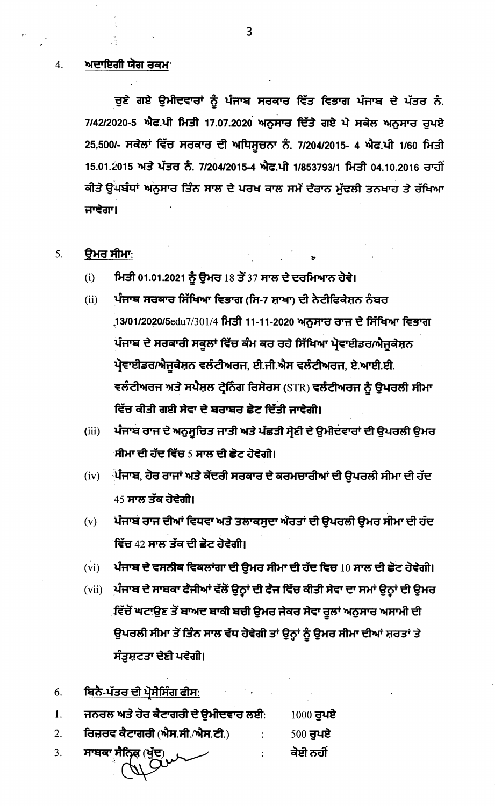ਅਦਾਇਗੀ ਯੋਗ ਰਕਮ

 $\overline{4}$ .

活

ਚੁਣੇ ਗਏ ਉਮੀਦਵਾਰਾਂ ਨੂੰ ਪੰਜਾਬ ਸਰਕਾਰ ਵਿੱਤ ਵਿਭਾਗ ਪੰਜਾਬ ਦੇ ਪੱਤਰ ਨੰ. 7/42/2020-5 ਐਫ.ਪੀ ਮਿਤੀ 17.07.2020 ਅਨੁਸਾਰ ਦਿੱਤੇ ਗਏ ਪੇ ਸਕੇਲ ਅਨੁਸਾਰ ਰੁਪਏ 25,500/- ਸਕੇਲਾਂ ਵਿੱਚ ਸਰਕਾਰ ਦੀ ਅਧਿਸੂਚਨਾ ਨੰ. 7/204/2015- 4 ਐਫ.ਪੀ 1/60 ਮਿਤੀ 15.01.2015 ਅਤੇ ਪੱਤਰ ਨੈ. 7/204/2015-4 ਐਫ.ਪੀ 1/853793/1 ਮਿਤੀ 04.10.2016 ਰਾਹੀਂ ਕੀਤੇ ਉਪਬੰਧਾਂ ਅਨੁਸਾਰ ਤਿੰਨ ਸਾਲ ਦੇ ਪਰਖ ਕਾਲ ਸਮੇਂ ਦੌਰਾਨ ਮੱਢਲੀ ਤਨਖਾਹ ਤੇ ਰੱਖਿਆ ਜਾਵੇਗਾ।

#### ਉਮਰ ਸੀਮਾ:  $5<sub>1</sub>$

- ਮਿਤੀ 01.01.2021 ਨੂੰ ਉਮਰ 18 ਤੋਂ 37 ਸਾਲ ਦੇ ਦਰਮਿਆਨ ਹੋਵੇ।  $(i)$
- ਪੰਜਾਬ ਸਰਕਾਰ ਸਿੱਖਿਆ ਵਿਭਾਗ (ਸਿ-7 ਸ਼ਾਖਾ) ਦੀ ਨੇਟੀਫਿਕੇਸ਼ਨ ਨੰਬਰ  $(ii)$ ,13/01/2020/5edu7/301/4 ਮਿਤੀ 11-11-2020 ਅਨੁਸਾਰ ਰਾਜ ਦੇ ਸਿੱਖਿਆ ਵਿਭਾਗ ਪੰਜਾਬ ਦੇ ਸਰਕਾਰੀ ਸਕੂਲਾਂ ਵਿੱਚ ਕੰਮ ਕਰ ਰਹੇ ਸਿੱਖਿਆ ਪ੍ਰੋਵਾਈਡਰ/ਐਜੂਕੇਸ਼ਨ ਪ੍ਰੋਵਾਈਡਰ/ਐਜੂਕੇਸ਼ਨ ਵਲੰਟੀਅਰਜ, ਈ.ਜੀ.ਐਸ ਵਲੰਟੀਅਰਜ, ਏ.ਆਈ.ਈ. ਵਲੰਟੀਅਰਜ ਅਤੇ ਸਪੈਸ਼ਲ ਟ੍ਰੇਨਿੰਗ ਰਿਸੋਰਸ (STR) ਵਲੰਟੀਅਰਜ ਨੂੰ ਉਪਰਲੀ ਸੀਮਾ ਵਿੱਚ ਕੀਤੀ ਗਈ ਸੇਵਾ ਦੇ ਬਰਾਬਰ ਛੋਟ ਦਿੱਤੀ ਜਾਵੇਗੀ।
- ਪੰਜਾਬ ਰਾਜ ਦੇ ਅਨੁਸੂਚਿਤ ਜਾਤੀ ਅਤੇ ਪੱਛੜੀ ਸ੍ਰੇਣੀ ਦੇ ਉਮੀਦਵਾਰਾਂ ਦੀ ਉਪਰਲੀ ਉਮਰ  $(iii)$ ਸੀਮਾ ਦੀ ਹੱਦ ਵਿੱਚ 5 ਸਾਲ ਦੀ ਛੋਟ ਹੋਵੇਗੀ।
- ੰਪੰਜਾਬ, ਹੋਰ ਰਾਜਾਂ ਅਤੇ ਕੇਂਦਰੀ ਸਰਕਾਰ ਦੇ ਕਰਮਚਾਰੀਆਂ ਦੀ ਉਪਰਲੀ ਸੀਮਾ ਦੀ ਹੱਦ  $(iv)$ 45 ਸਾਲ ਤੱਕ ਹੋਵੇਗੀ।
- ਪੰਜਾਬ ਰਾਜ ਦੀਆਂ ਵਿਧਵਾ ਅਤੇ ਤਲਾਕਸੁਦਾ ਅੇਰਤਾਂ ਦੀ ਉਪਰਲੀ ਉਮਰ ਸੀਮਾ ਦੀ ਹੱਦ  $(v)$ ਵਿੱਚ 42 ਸਾਲ ਤੱਕ ਦੀ ਛੋਟ ਹੋਵੇਗੀ।
- ਪੰਜਾਬ ਦੇ ਵਸਨੀਕ ਵਿਕਲਾਂਗਾ ਦੀ ਉਮਰ ਸੀਮਾ ਦੀ ਹੱਦ ਵਿਚ  $10$  ਸਾਲ ਦੀ ਛੋਟ ਹੋਵੇਗੀ।  $(vi)$
- ਪੰਜਾਬ ਦੇ ਸਾਬਕਾ ਫੇਜੀਆਂ ਵੱਲੋਂ ਉਨ੍ਹਾਂ ਦੀ ਫੇਜ ਵਿੱਚ ਕੀਤੀ ਸੇਵਾ ਦਾ ਸਮਾਂ ਉਨ੍ਹਾਂ ਦੀ ਉਮਰ  $(vii)$ ਵਿੱਚੋਂ ਘਟਾਉਣ ਤੋਂ ਬਾਅਦ ਬਾਕੀ ਬਚੀ ਉਮਰ ਜੇਕਰ ਸੇਵਾ ਰੁਲਾਂ ਅਨੁਸਾਰ ਅਸਾਮੀ ਦੀ ਉਪਰਲੀ ਸੀਮਾ ਤੋਂ ਤਿੰਨ ਸਾਲ ਵੱਧ ਹੋਵੇਗੀ ਤਾਂ ਉਨ੍ਹਾਂ ਨੂੰ ਉਮਰ ਸੀਮਾ ਦੀਆਂ ਸ਼ਰਤਾਂ ਤੇ ਸੰਤੁਸ਼ਟਤਾ ਦੇਣੀ ਪਵੇਗੀ।
- <u>ਬਿਨੈ-ਪੱਤਰ ਦੀ ਪ੍ਰੋਸੈਸਿੰਗ ਫੀਸ:</u> 6.

|    | ਜਨਰਲ ਅਤੇ ਹੋਰ ਕੈਟਾਗਰੀ ਦੇ ਉਮੀਦਵਾਰ ਲਈ:         | $1000$ ਰੁਪਏ |
|----|---------------------------------------------|-------------|
| 2. | ਰਿਜ਼ਰਵ ਕੈਟਾਗਰੀ (ਐਸ.ਸੀ./ਐਸ.ਟੀ.)              | $500$ ਰੁਪਏ  |
| 3. | ਸਾਬਕਾ ਸੈਨਿਕ (ਖੁੱਦ)<br>(N) $Q^{\mathcal{Y}}$ | ਕੋਈ ਨਹੀਂ    |

 $\overline{3}$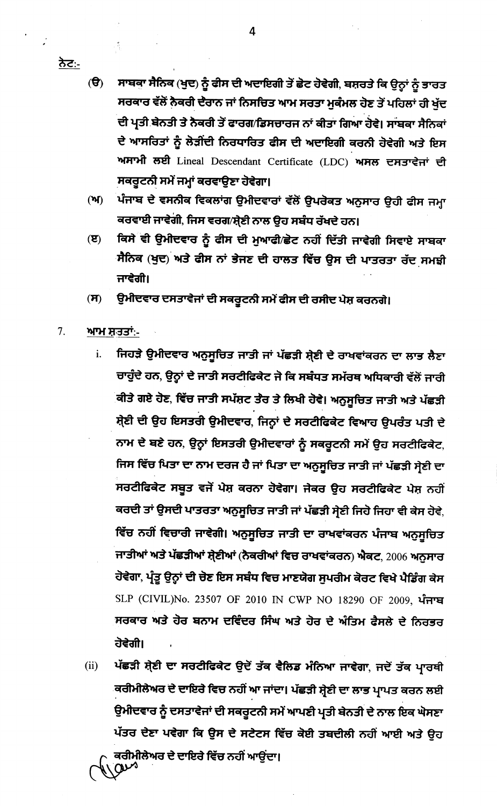<u>ਨੇਟ:-</u>

- ਸਾਬਕਾ ਸੈਨਿਕ (ਖੁਦ) ਨੂੰ ਫੀਸ ਦੀ ਅਦਾਇਗੀ ਤੋਂ ਛੋਟ ਹੋਵੇਗੀ, ਬਸ਼ਰਤੇ ਕਿ ਉਨ੍ਹਾਂ ਨੂੰ ਭਾਰਤ  $\mathbf{G}$ ਸਰਕਾਰ ਵੱਲੋਂ ਨੈਕਰੀ ਦੈਰਾਨ ਜਾਂ ਨਿਸਚਿਤ ਆਮ ਸਰਤਾ ਮੁਕੰਮਲ ਹੋਣ ਤੋਂ ਪਹਿਲਾਂ ਹੀ ਖੁੱਦ ਦੀ ਪ੍ਰਤੀ ਬੇਨਤੀ ਤੇ ਨੈਕਰੀ ਤੋਂ ਫਾਰਗ/ਡਿਸਚਾਰਜ ਨਾਂ ਕੀਤਾ ਗਿਆ ਹੋਵੇ। ਸਾਬਕਾ ਸੈਨਿਕਾਂ ਦੇ ਆਸਰਿਤਾਂ ਨੂੰ ਲੋੜੀਂਦੀ ਨਿਰਧਾਰਿਤ ਫੀਸ ਦੀ ਅਦਾਇਗੀ ਕਰਨੀ ਹੋਵੇਗੀ ਅਤੇ ਇਸ ਅਸਾਮੀ ਲਈ Lineal Descendant Certificate (LDC) ਅਸਲ ਦਸਤਾਵੇਜਾਂ ਦੀ ਸਕਰੂਟਨੀ ਸਮੇਂ ਜਮ੍ਹਾਂ ਕਰਵਾਉਣਾ ਹੋਵੇਗਾ।
- .<br>ਪੰਜਾਬ ਦੇ ਵਸਨੀਕ ਵਿਕਲਾਂਗ ਉਮੀਦਵਾਰਾਂ ਵੱਲੋਂ ਉਪਰੋਕਤ ਅਨੁਸਾਰ ਉਹੀ ਫੀਸ ਜਮ੍ਹਾ  $(M)$ ਕਰਵਾਈ ਜਾਵੇਗੀ, ਜਿਸ ਵਰਗ/ਸ਼੍ਰੇਣੀ ਨਾਲ ਉਹ ਸਬੰਧ ਰੱਖਦੇ ਹਨ।
- ਕਿਸੇ ਵੀ ਉਮੀਦਵਾਰ ਨੂੰ ਫੀਸ ਦੀ ਮੁਆਫੀ/ਛੋਟ ਨਹੀਂ ਦਿੱਤੀ ਜਾਵੇਗੀ ਸਿਵਾਏ ਸਾਬਕਾ  $(\mathbf{E})$ ਸੈਨਿਕ (ਖੁਦ) ਅਤੇ ਫੀਸ ਨਾਂ ਭੇਜਣ ਦੀ ਹਾਲਤ ਵਿੱਚ ਉਸ ਦੀ ਪਾਤਰਤਾ ਰੱਦ ਸਮਝੀ ਜਾਵੇਗੀ।
- ਉਮੀਦਵਾਰ ਦਸਤਾਵੇਜਾਂ ਦੀ ਸਕਰੂਟਨੀ ਸਮੇਂ ਫੀਸ ਦੀ ਰਸੀਦ ਪੇਸ਼ ਕਰਨਗੇ।  $( H )$
- $7.$ ਆਮ ਸ਼ਰਤਾਂ:-
	- ਜਿਹੜੇ ਉਮੀਦਵਾਰ ਅਨੁਸੂਚਿਤ ਜਾਤੀ ਜਾਂ ਪੱਛੜੀ ਸ਼ੋ੍ਣੀ ਦੇ ਰਾਖਵਾਂਕਰਨ ਦਾ ਲਾਭ ਲੈਣਾ  $\mathbf{i}$ . ਚਾਹੁੰਦੇ ਹਨ, ਉਨ੍ਹਾਂ ਦੇ ਜਾਤੀ ਸਰਟੀਫਿਕੇਟ ਜੋ ਕਿ ਸਬੰਧਤ ਸਮੱਰਥ ਅਧਿਕਾਰੀ ਵੱਲੋਂ ਜਾਰੀ ਕੀਤੇ ਗਏ ਹੋਣ, ਵਿੱਚ ਜਾਤੀ ਸਪੱਸ਼ਟ ਤੇਰ ਤੇ ਲਿਖੀ ਹੋਵੇ। ਅਨੁਸੂਚਿਤ ਜਾਤੀ ਅਤੇ ਪੱਛੜੀ ਸ਼ੇਣੀ ਦੀ ਉਹ ਇਸਤਰੀ ਉਮੀਦਵਾਰ, ਜਿਨ੍ਹਾਂ ਦੇ ਸਰਟੀਫਿਕੇਟ ਵਿਆਹ ਉਪਰੰਤ ਪਤੀ ਦੇ ਨਾਮ ਦੇ ਬਣੇ ਹਨ, ਉਨ੍ਹਾਂ ਇਸਤਰੀ ਉਮੀਦਵਾਰਾਂ ਨੂੰ ਸਕਰੂਟਨੀ ਸਮੇਂ ਉਹ ਸਰਟੀਫਿਕੇਟ, ਜਿਸ ਵਿੱਚ ਪਿਤਾ ਦਾ ਨਾਮ ਦਰਜ ਹੈ ਜਾਂ ਪਿਤਾ ਦਾ ਅਨੁਸੂਚਿਤ ਜਾਤੀ ਜਾਂ ਪੱਛੜੀ ਸ੍ਰੇਣੀ ਦਾ ਸਰਟੀਫਿਕੇਟ ਸਬੂਤ ਵਜੋਂ ਪੇਸ਼ ਕਰਨਾ ਹੋਵੇਗਾ। ਜੇਕਰ ਉਹ ਸਰਟੀਫਿਕੇਟ ਪੇਸ਼ ਨਹੀਂ ਕਰਦੀ ਤਾਂ ਉਸਦੀ ਪਾਤਰਤਾ ਅਨੁਸੂਚਿਤ ਜਾਤੀ ਜਾਂ ਪੱਛੜੀ ਸ੍ਰੇਣੀ ਜਿਹੋ ਜਿਹਾ ਵੀ ਕੇਸ ਹੋਵੇ, ਵਿੱਚ ਨਹੀਂ ਵਿਚਾਰੀ ਜਾਵੇਗੀ। ਅਨੁਸੂਚਿਤ ਜਾਤੀ ਦਾ ਰਾਖਵਾਂਕਰਨ ਪੰਜਾਬ ਅਨੁਸੂਚਿਤ ਜਾਤੀਆਂ ਅਤੇ ਪੱਛੜੀਆਂ ਸ਼੍ਰੇਣੀਆਂ (ਨੈਕਰੀਆਂ ਵਿਚ ਰਾਖਵਾਂਕਰਨ) ਐਕਟ, 2006 ਅਨੁਸਾਰ ਹੋਵੇਗਾ, ਪ੍ਰੰਤੂ ਉਨ੍ਹਾਂ ਦੀ ਚੋਣ ਇਸ ਸਬੰਧ ਵਿਚ ਮਾਣਯੋਗ ਸੁਪਰੀਮ ਕੋਰਟ ਵਿਖੇ ਪੈਡਿੰਗ ਕੇਸ SLP (CIVIL)No. 23507 OF 2010 IN CWP NO 18290 OF 2009, ਪੰਜਾਬ ਸਰਕਾਰ ਅਤੇ ਹੋਰ ਬਨਾਮ ਦਵਿੰਦਰ ਸਿੰਘ ਅਤੇ ਹੋਰ ਦੇ ਅੰਤਿਮ ਫੈਸਲੇ ਦੇ ਨਿਰਭਰ ਹੋਵੇਗੀ।
	- ਪੱਛੜੀ ਸ਼ੇ੍ਣੀ ਦਾ ਸਰਟੀਫਿਕੇਟ ਉਦੋਂ ਤੱਕ ਵੈਲਿਡ ਮੰਨਿਆ ਜਾਵੇਗਾ, ਜਦੋਂ ਤੱਕ ਪ੍ਰਾਰਥੀ  $(ii)$ ਕਰੀਮੀਲੇਅਰ ਦੇ ਦਾਇਰੇ ਵਿਚ ਨਹੀਂ ਆ ਜਾਂਦਾ। ਪੱਛੜੀ ਸ਼੍ਰੇਣੀ ਦਾ ਲਾਭ ਪ੍ਰਾਪਤ ਕਰਨ ਲਈ ਉਮੀਦਵਾਰ ਨੂੰ ਦਸਤਾਵੇਜਾਂ ਦੀ ਸਕਰੂਟਨੀ ਸਮੇਂ ਆਪਣੀ ਪ੍ਰਤੀ ਬੇਨਤੀ ਦੇ ਨਾਲ ਇਕ ਘੋਸਣਾ ਪੱਤਰ ਦੇਣਾ ਪਵੇਗਾ ਕਿ ਉਸ ਦੇ ਸਟੇਟਸ ਵਿੱਚ ਕੋਈ ਤਬਦੀਲੀ ਨਹੀਂ ਆਈ ਅਤੇ ਉਹ

ਕਰੀਮੀਲੇਅਰ ਦੇ ਦਾਇਰੇ ਵਿੱਚ ਨਹੀਂ ਆੳਂਦਾ।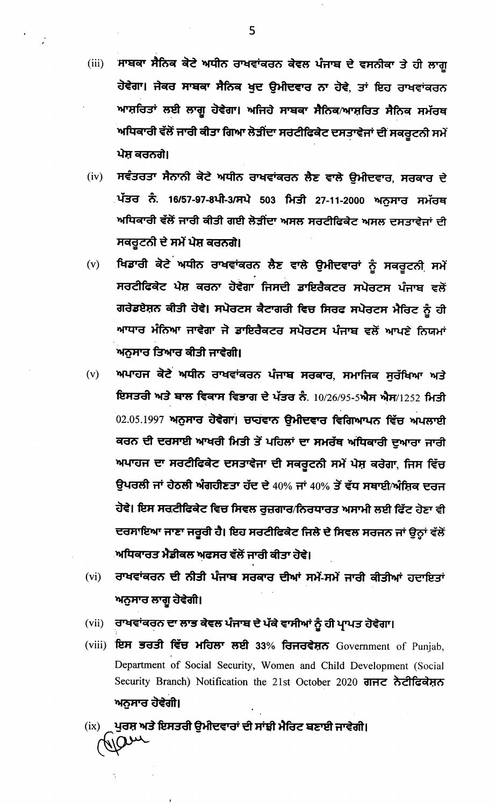- ਸਾਬਕਾ ਸੈਨਿਕ ਕੋਟੇ ਅਧੀਨ ਰਾਖਵਾਂਕਰਨ ਕੇਵਲ ਪੰਜਾਬ ਦੇ ਵਸਨੀਕਾ ਤੇ ਹੀ ਲਾਗੁ  $(iii)$ ਹੋਵੇਗਾ। ਜੇਕਰ ਸਾਬਕਾ ਸੈਨਿਕ ਖੁਦ ਉਮੀਦਵਾਰ ਨਾ ਹੋਵੇ, ਤਾਂ ਇਹ ਰਾਖਵਾਂਕਰਨ ਆਸ਼ਰਿਤਾਂ ਲਈ ਲਾਗੂ ਹੋਵੇਗਾ। ਅਜਿਹੇ ਸਾਬਕਾ ਸੈਨਿਕ⁄ਆਸ਼ਰਿਤ ਸੈਨਿਕ ਸਮੱਰਥ ਅਧਿਕਾਰੀ ਵੱਲੋਂ ਜਾਰੀ ਕੀਤਾ ਗਿਆ ਲੋੜੀਂਦਾ ਸਰਟੀਫਿਕੇਟ ਦਸਤਾਵੇਜਾਂ ਦੀ ਸਕਰੂਟਨੀ ਸਮੇਂ ਪੇਸ਼ ਕਰਨਗੇ।
- ਸਵੰਤਰਤਾ ਸੈਨਾਨੀ ਕੋਟੇ ਅਧੀਨ ਰਾਖਵਾਂਕਰਨ ਲੈਣ ਵਾਲੇ ਉਮੀਦਵਾਰ, ਸਰਕਾਰ ਦੇ  $(iv)$ ਪੱਤਰ ਨੰ. 16/57-97-8<mark>ਪੀ-3/ਸ</mark>ਪੇ 503 ਮਿਤੀ 27-11-2000 ਅਨੁਸਾਰ ਸਮੱਰਥ ਅਧਿਕਾਰੀ ਵੱਲੋਂ ਜਾਰੀ ਕੀਤੀ ਗਈ ਲੋੜੀਂਦਾ ਅਸਲ ਸਰਟੀਫਿਕੇਟ ਅਸਲ ਦਸਤਾਵੇਜਾਂ ਦੀ ਸਕਰੂਟਨੀ ਦੇ ਸਮੇਂ ਪੇਸ਼ ਕਰਨਗੇ।
- ਖਿਡਾਰੀ ਕੋਟੇ ਅਧੀਨ ਰਾਖਵਾਂਕਰਨ ਲੈਣ ਵਾਲੇ ਉਮੀਦਵਾਰਾਂ ਨੂੰ ਸਕਰੂਟਨੀ ਸਮੇਂ  $(v)$ ਸਰਟੀਫਿਕੇਟ ਪੇਸ਼ ਕਰਨਾ ਹੋਵੇਗਾ ਜਿਸਦੀ ਡਾਇਰੈਕਟਰ ਸਪੋਰਟਸ ਪੰਜਾਬ ਵਲੋਂ ਗਰੇਡਏਸ਼ਨ ਕੀਤੀ ਹੋਵੇ। ਸਪੋਰਟਸ ਕੈਟਾਗਰੀ ਵਿਚ ਸਿਰਫ ਸਪੋਰਟਸ ਮੈਰਿਟ ਨੂੰ ਹੀ ਆਧਾਰ ਮੰਨਿਆ ਜਾਵੇਗਾ ਜੋ ਡਾਇਰੈਕਟਰ ਸਪੋਰਟਸ ਪੰਜਾਬ ਵਲੋਂ ਆਪਣੇ ਨਿਯਮਾਂ ਅਨੁਸਾਰ ਤਿਆਰ ਕੀਤੀ ਜਾਵੇਗੀ।
- ਅਪਾਹਜ ਕੋਟੇ ਅਧੀਨ ਰਾਖਵਾਂਕਰਨ ਪੰਜਾਬ ਸਰਕਾਰ, ਸਮਾਜਿਕ ਸੁਰੱਖਿਆ ਅਤੇ  $(v)$ ਇਸਤਰੀ ਅਤੇ ਬਾਲ ਵਿਕਾਸ ਵਿਭਾਗ ਦੇ ਪੱਤਰ ਨੰ. 10/26/95-5ਐਸ ਐਸ/1252 ਮਿਤੀ  $02.05.1997$  ਅਨੁਸਾਰ ਹੋਵੇਗਾ। ਚਾਹਵਾਨ ਉਮੀਦਵਾਰ ਵਿਗਿਆਪਨ ਵਿੱਚ ਅਪਲਾਈ ਕਰਨ ਦੀ ਦਰਸਾਈ ਆਖਰੀ ਮਿਤੀ ਤੋਂ ਪਹਿਲਾਂ ਦਾ ਸਮਰੱਥ ਅਧਿਕਾਰੀ ਦੁਆਰਾ ਜਾਰੀ ਅਪਾਹਜ ਦਾ ਸਰਟੀਫਿਕੇਟ ਦਸਤਾਵੇਜਾ ਦੀ ਸਕਰੂਟਨੀ ਸਮੇਂ ਪੇਸ਼ ਕਰੇਗਾ, ਜਿਸ ਵਿੱਚ ਉਪਰਲੀ ਜਾਂ ਹੇਠਲੀ ਅੰਗਹੀਣਤਾ ਹੱਦ ਦੇ 40% ਜਾਂ 40% ਤੋਂ ਵੱਧ ਸਥਾਈ/ਅੰਸ਼ਿਕ ਦਰਜ ਹੋਵੇ। ਇਸ ਸਰਟੀਫਿਕੇਟ ਵਿਚ ਸਿਵਲ ਰੁਜ਼ਗਾਰ/ਨਿਰਧਾਰਤ ਅਸਾਮੀ ਲਈ ਫਿੱਟ ਹੋਣਾ ਵੀ ਦਰਸਾਇਆ ਜਾਣਾ ਜਰੂਰੀ ਹੈ। ਇਹ ਸਰਟੀਫਿਕੇਟ ਜਿਲੇ ਦੇ ਸਿਵਲ ਸਰਜਨ ਜਾਂ ਉਨ੍ਹਾਂ ਵੱਲੋਂ ਅਧਿਕਾਰਤ ਮੈਡੀਕਲ ਅਫਸਰ ਵੱਲੋਂ ਜਾਰੀ ਕੀਤਾ ਹੋਵੇ।
- ਰਾਖਵਾਂਕਰਨ ਦੀ ਨੀਤੀ ਪੰਜਾਬ ਸਰਕਾਰ ਦੀਆਂ ਸਮੇਂ-ਸਮੇਂ ਜਾਰੀ ਕੀਤੀਆਂ ਹਦਾਇਤਾਂ  $(vi)$ ਅਨੁਸਾਰ ਲਾਗੂ ਹੋਵੇਗੀ।
- (vii) ਰਾਖਵਾਂਕਰਨ ਦਾ ਲਾਭ ਕੇਵਲ ਪੰਜਾਬ ਦੇ ਪੱਕੇ ਵਾਸੀਆਂ ਨੂੰ ਹੀ ਪ੍ਰਾਪਤ ਹੋਵੇਗਾ।
- (viii) ਇਸ ਭਰਤੀ ਵਿੱਚ ਮਹਿਲਾ ਲਈ 33% ਰਿਜਰਵੇਸ਼ਨ Government of Punjab, Department of Social Security, Women and Child Development (Social Security Branch) Notification the 21st October 2020 **ਗਜਟ ਨੇਟੀਫਿਕੇਸ਼ਨ** ਅਨੁਸਾਰ ਹੋਵੇਗੀ।
- ਪੁਰਸ਼ ਅਤੇ ਇਸਤਰੀ ਉਮੀਦਵਾਰਾਂ ਦੀ ਸਾਂਝੀ ਮੈਰਿਟ ਬਣਾਈ ਜਾਵੇਗੀ।  $(ix)$

5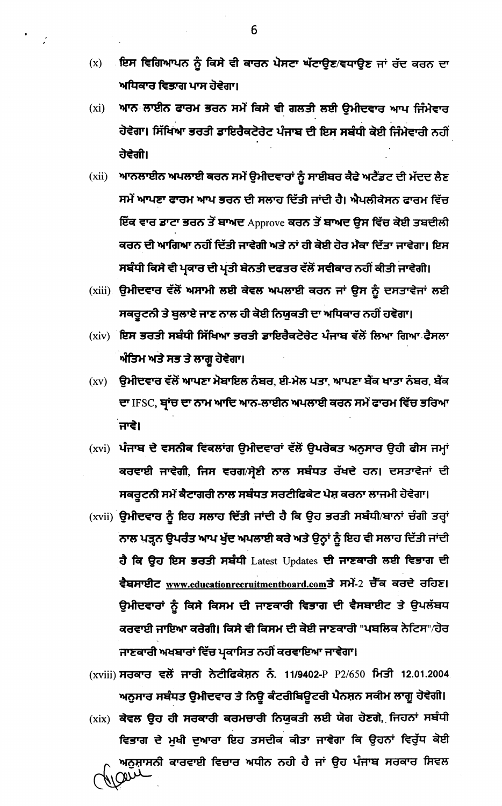- ਇਸ ਵਿਗਿਆਪਨ ਨੂੰ ਕਿਸੇ ਵੀ ਕਾਰਨ ਪੋਸਟਾ ਘੱਟਾਉਣ/ਵਧਾਉਣ ਜਾਂ ਰੱਦ ਕਰਨ ਦਾ  $(x)$ ਅਧਿਕਾਰ ਵਿਭਾਗ ਪਾਸ ਹੋਵੇਗਾ।
- ਆਨ**ਾਲਾਈਨ ਫਾਰਮ ਭਰਨ ਸਮੇਂ ਕਿਸੇ ਵੀ ਗਲਤੀ ਲਈ ਉ**ਮੀਦਵਾਰ ਆਪ ਜਿੰਮੇਵਾਰ  $(xi)$ ਹੋਵੇਗਾ। ਸਿੱਖਿਆ ਭਰਤੀ ਡਾਇਰੈਕਟੋਰੇਟ ਪੰਜਾਬ ਦੀ ਇਸ ਸਬੰਧੀ ਕੋਈ ਜਿੰਮੇਵਾਰੀ ਨਹੀਂ ਹੋਵੇਗੀ।
- (xii) ਆਨਲਾਈਨ ਅਪਲਾਈ ਕਰਨ ਸਮੇਂ ਉਮੀਦਵਾਰਾਂ ਨੂੰ ਸਾਈਬਰ ਕੈਫੇ ਅਟੈਂਡਟ ਦੀ ਮੱਦਦ ਲੈਣ ਸਮੇਂ ਆਪਣਾ ਫਾਰਮ ਆਪ ਭਰਨ ਦੀ ਸਲਾਹ ਦਿੱਤੀ ਜਾਂਦੀ ਹੈ। ਐਪਲੀਕੇਸਨ ਫਾਰਮ ਵਿੱਚ ਇੱਕ ਵਾਰ ਡਾਟਾ ਭਰਨ ਤੋਂ ਬਾਅਦ Approve ਕਰਨ ਤੋਂ ਬਾਅਦ ਉਸ ਵਿੱਚ ਕੋਈ ਤਬਦੀਲੀ ਕਰਨ ਦੀ ਆਗਿਆ ਨਹੀਂ ਦਿੱਤੀ ਜਾਵੇਗੀ ਅਤੇ ਨਾਂ ਹੀ ਕੋਈ ਹੋਰ ਮੈਕਾ ਦਿੱਤਾ ਜਾਵੇਗਾ। ਇਸ ਸਬੰਧੀ ਕਿਸੇ ਵੀ ਪ੍ਰਕਾਰ ਦੀ ਪ੍ਰਤੀ ਬੇਨਤੀ ਦਫਤਰ ਵੱਲੋਂ ਸਵੀਕਾਰ ਨਹੀਂ ਕੀਤੀ ਜਾਵੇਗੀ।
- (xiii) ਉਮੀਦਵਾਰ ਵੱਲੋਂ ਅਸਾਮੀ ਲਈ ਕੇਵਲ ਅਪਲਾਈ ਕਰਨ ਜਾਂ ਉਸ ਨੂੰ ਦਸਤਾਵੇਜਾਂ ਲਈ ਸਕਰੂਟਨੀ ਤੇ ਬੁਲਾਏ ਜਾਣ ਨਾਲ ਹੀ ਕੋਈ ਨਿਯੁਕਤੀ ਦਾ ਅਧਿਕਾਰ ਨਹੀਂ ਹਵੇਗਾ।
- (xiv) ਇਸ ਭਰਤੀ ਸਬੰਧੀ ਸਿੱਖਿਆ ਭਰਤੀ ਡਾਇਰੈਕਟੋਰੇਟ ਪੰਜਾਬ ਵੱਲੋਂ ਲਿਆ ਗਿਆ ਫੈਸਲਾ ਅੰਤਿਮ ਅਤੇ ਸਭ ਤੇ ਲਾਗੂ ਹੋਵੇਗਾ।
- ਉਮੀਦਵਾਰ ਵੱਲੋਂ ਆਪਣਾ ਮੋਬਾਇਲ ਨੰਬਰ, ਈ-ਮੇਲ ਪਤਾ, ਆਪਣਾ ਬੈਂਕ ਖਾਤਾ ਨੰਬਰ, ਬੈਂਕ  $\left( xy\right)$ ਦਾ IFSC, ਬ੍ਰਾਂਚ ਦਾ ਨਾਮ ਆਦਿ ਆਨ-ਲਾਈਨ ਅਪਲਾਈ ਕਰਨ ਸਮੇਂ ਫਾਰਮ ਵਿੱਚ ਤਰਿਆ ਜਾਵੇ।
- (xvi) ਪੰਜਾਬ ਦੇ ਵਸਨੀਕ ਵਿਕਲਾਂਗ ਉਮੀਦਵਾਰਾਂ ਵੱਲੋਂ ਉਪਰੋਕਤ ਅਨੁਸਾਰ ਉਹੀ ਫੀਸ ਜਮ੍ਹਾਂ ਕਰਵਾਈ ਜਾਵੇਗੀ, ਜਿਸ ਵਰਗ/ਸ੍ਰੇਣੀ ਨਾਲ ਸਬੰਧਤ ਰੱਖਦੇ ਹਨ। ਦਸਤਾਵੇਜਾਂ ਦੀ ਸਕਰੂਟਨੀ ਸਮੇਂ ਕੈਟਾਗਰੀ ਨਾਲ ਸਬੰਧਤ ਸਰਟੀਫਿਕੇਟ ਪੇਸ਼ ਕਰਨਾ ਲਾਜਮੀ ਹੋਵੇਗਾ।
- (xvii) ਉਮੀਦਵਾਰ ਨੂੰ ਇਹ ਸਲਾਹ ਦਿੱਤੀ ਜਾਂਦੀ ਹੈ ਕਿ ਉਹ ਭਰਤੀ ਸਬੰਧੀ/ਬਾਨਾਂ ਚੰਗੀ ਤਰ੍ਹਾਂ ਨਾਲ ਪੜ੍ਹਨ ਉਪਰੰਤ ਆਪ ਖੁੱਦ ਅਪਲਾਈ ਕਰੇ ਅਤੇ ਉਨ੍ਹਾਂ ਨੂੰ ਇਹ ਵੀ ਸਲਾਹ ਦਿੱਤੀ ਜਾਂਦੀ ਹੈ ਕਿ ਉਹ ਇਸ ਭਰਤੀ ਸਬੰਧੀ  $\rm L$ atest  $\rm U$ pdates ਦੀ ਜਾਣਕਾਰੀ ਲਈ ਵਿਭਾਗ ਦੀ ਵੈਬਸਾਈਟ www.educationrecruitmentboard.comਤੇ ਸਮੇਂ-2 ਚੈੱਕ ਕਰਦੇ ਰਹਿਣ। ਉਮੀਦਵਾਰਾਂ ਨੂੰ ਕਿਸੇ ਕਿਸਮ ਦੀ ਜਾਣਕਾਰੀ ਵਿਭਾਗ ਦੀ ਵੈਸਬਾਈਟ ਤੇ ਉਪਲੱਬਧ ਕਰਵਾਈ ਜਾਇਆ ਕਰੇਗੀ। ਕਿਸੇ ਵੀ ਕਿਸਮ ਦੀ ਕੋਈ ਜਾਣਕਾਰੀ "ਪਬਲਿਕ ਨੇਟਿਸ"/ਹੋਰ ਜਾਣਕਾਰੀ ਅਖਬਾਰਾਂ ਵਿੱਚ ਪ੍ਰਕਾਸਿਤ ਨਹੀਂ ਕਰਵਾਇਆ ਜਾਵੇਗਾ।

(xviii) ਸਰਕਾਰ ਵਲੋਂ ਜਾਰੀ ਨੇਟੀਫਿਕੇਸ਼ਨ ਨੰ. 11/9402-P P2/650 ਮਿਤੀ 12.01.2004 ਅਨੁਸਾਰ ਸਬੰਧਤ ਉਮੀਦਵਾਰ ਤੇ ਨਿਊ ਕੰਟਰੀਬਿਊਟਰੀ ਪੈਨਸ਼ਨ ਸਕੀਮ ਲਾਗੂ ਹੋਵੇਗੀ।

 $(xix)$  ਕੇਵਲ ਉਹ ਹੀ ਸਰਕਾਰੀ ਕਰਮਚਾਰੀ ਨਿਯੁਕਤੀ ਲਈ ਯੋਗ ਹੋਣਗੇ, ਜਿਹਨਾਂ ਸਬੰਧੀ ਵਿਭਾਗ ਦੇ ਮੁਖੀ ਦੁਆਰਾ ਇਹ ਤਸਦੀਕ ਕੀਤਾ ਜਾਵੇਗਾ ਕਿ ਉਹਨਾਂ ਵਿਰੁੱਧ ਕੋਈ ਅਨੁਸ਼ਾਸਨੀ ਕਾਰਵਾਈ ਵਿਚਾਰ ਅਧੀਨ ਨਹੀ ਹੈ ਜਾਂ ਉਹ ਪੰਜਾਬ ਸਰਕਾਰ ਸਿਵਲ

6

 $\cdot$